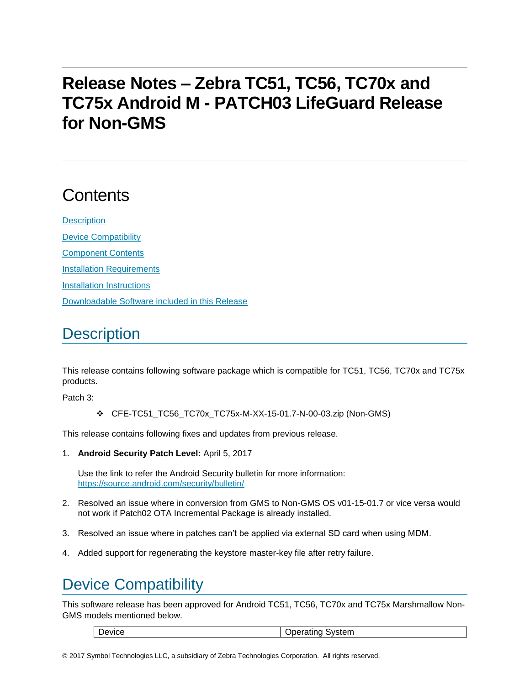# **Release Notes – Zebra TC51, TC56, TC70x and TC75x Android M - PATCH03 LifeGuard Release for Non-GMS**

# **Contents**

**[Description](#page-0-0)** [Device Compatibility](#page-0-1) [Component Contents](#page-1-0) [Installation Requirements](#page-1-1) [Installation Instructions](#page-1-2) [Downloadable Software included in this Release](#page-3-0)

### <span id="page-0-0"></span>**Description**

This release contains following software package which is compatible for TC51, TC56, TC70x and TC75x products.

Patch 3:

CFE-TC51\_TC56\_TC70x\_TC75x-M-XX-15-01.7-N-00-03.zip (Non-GMS)

This release contains following fixes and updates from previous release.

1. **Android Security Patch Level:** April 5, 2017

Use the link to refer the Android Security bulletin for more information: <https://source.android.com/security/bulletin/>

- 2. Resolved an issue where in conversion from GMS to Non-GMS OS v01-15-01.7 or vice versa would not work if Patch02 OTA Incremental Package is already installed.
- 3. Resolved an issue where in patches can't be applied via external SD card when using MDM.
- <span id="page-0-1"></span>4. Added support for regenerating the keystore master-key file after retry failure.

## Device Compatibility

This software release has been approved for Android TC51, TC56, TC70x and TC75x Marshmallow Non-GMS models mentioned below.

Device **Device Operating System**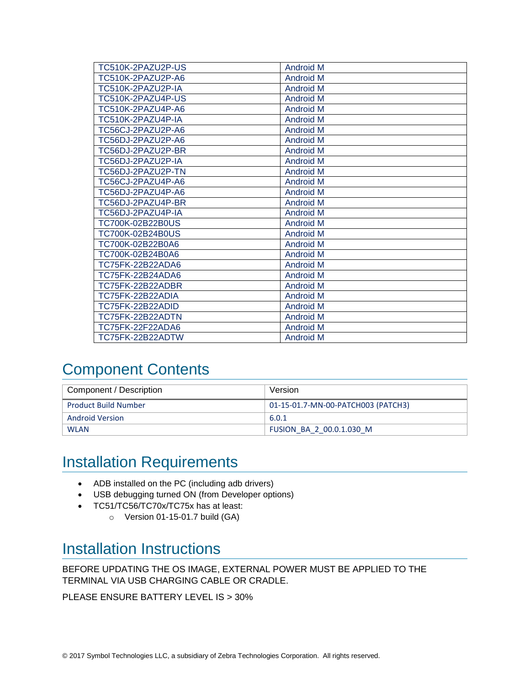| TC510K-2PAZU2P-US | <b>Android M</b> |
|-------------------|------------------|
| TC510K-2PAZU2P-A6 | <b>Android M</b> |
| TC510K-2PAZU2P-IA | <b>Android M</b> |
| TC510K-2PAZU4P-US | <b>Android M</b> |
| TC510K-2PAZU4P-A6 | <b>Android M</b> |
| TC510K-2PAZU4P-IA | <b>Android M</b> |
| TC56CJ-2PAZU2P-A6 | <b>Android M</b> |
| TC56DJ-2PAZU2P-A6 | <b>Android M</b> |
| TC56DJ-2PAZU2P-BR | <b>Android M</b> |
| TC56DJ-2PAZU2P-IA | <b>Android M</b> |
| TC56DJ-2PAZU2P-TN | <b>Android M</b> |
| TC56CJ-2PAZU4P-A6 | <b>Android M</b> |
| TC56DJ-2PAZU4P-A6 | <b>Android M</b> |
| TC56DJ-2PAZU4P-BR | <b>Android M</b> |
| TC56DJ-2PAZU4P-IA | <b>Android M</b> |
| TC700K-02B22B0US  | <b>Android M</b> |
| TC700K-02B24B0US  | <b>Android M</b> |
| TC700K-02B22B0A6  | <b>Android M</b> |
| TC700K-02B24B0A6  | <b>Android M</b> |
| TC75FK-22B22ADA6  | <b>Android M</b> |
| TC75FK-22B24ADA6  | <b>Android M</b> |
| TC75FK-22B22ADBR  | <b>Android M</b> |
| TC75FK-22B22ADIA  | <b>Android M</b> |
| TC75FK-22B22ADID  | <b>Android M</b> |
| TC75FK-22B22ADTN  | <b>Android M</b> |
| TC75FK-22F22ADA6  | <b>Android M</b> |
| TC75FK-22B22ADTW  | <b>Android M</b> |

## <span id="page-1-0"></span>Component Contents

| Component / Description     | Version                            |
|-----------------------------|------------------------------------|
| <b>Product Build Number</b> | 01-15-01.7-MN-00-PATCH003 (PATCH3) |
| <b>Android Version</b>      | 6.0.1                              |
| <b>WLAN</b>                 | FUSION BA 2 00.0.1.030 M           |

### <span id="page-1-1"></span>Installation Requirements

- ADB installed on the PC (including adb drivers)
- USB debugging turned ON (from Developer options)
- TC51/TC56/TC70x/TC75x has at least:
	- o Version 01-15-01.7 build (GA)

#### <span id="page-1-2"></span>Installation Instructions

BEFORE UPDATING THE OS IMAGE, EXTERNAL POWER MUST BE APPLIED TO THE TERMINAL VIA USB CHARGING CABLE OR CRADLE.

PLEASE ENSURE BATTERY LEVEL IS > 30%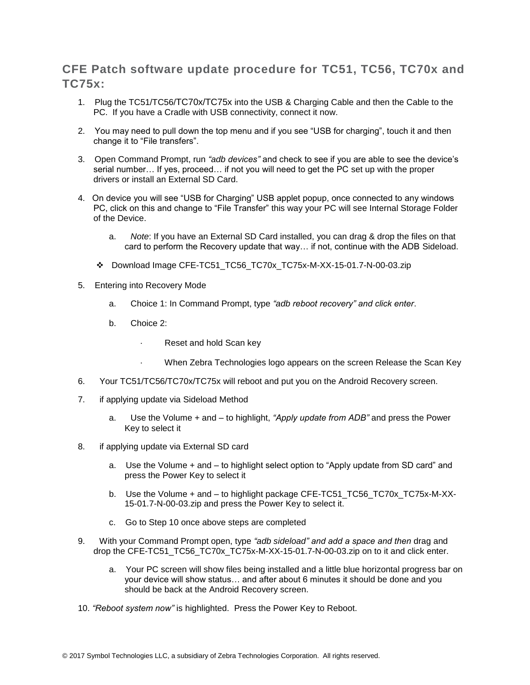#### **CFE Patch software update procedure for TC51, TC56, TC70x and TC75x:**

- 1. Plug the TC51/TC56/TC70x/TC75x into the USB & Charging Cable and then the Cable to the PC. If you have a Cradle with USB connectivity, connect it now.
- 2. You may need to pull down the top menu and if you see "USB for charging", touch it and then change it to "File transfers".
- 3. Open Command Prompt, run *"adb devices"* and check to see if you are able to see the device's serial number… If yes, proceed… if not you will need to get the PC set up with the proper drivers or install an External SD Card.
- 4. On device you will see "USB for Charging" USB applet popup, once connected to any windows PC, click on this and change to "File Transfer" this way your PC will see Internal Storage Folder of the Device.
	- a. *Note*: If you have an External SD Card installed, you can drag & drop the files on that card to perform the Recovery update that way… if not, continue with the ADB Sideload.
	- Download Image CFE-TC51\_TC56\_TC70x\_TC75x-M-XX-15-01.7-N-00-03.zip
- 5. Entering into Recovery Mode
	- a. Choice 1: In Command Prompt, type *"adb reboot recovery" and click enter*.
	- b. Choice 2:
		- Reset and hold Scan key
		- When Zebra Technologies logo appears on the screen Release the Scan Key
- 6. Your TC51/TC56/TC70x/TC75x will reboot and put you on the Android Recovery screen.
- 7. if applying update via Sideload Method
	- a. Use the Volume + and to highlight, *"Apply update from ADB"* and press the Power Key to select it
- 8. if applying update via External SD card
	- a. Use the Volume + and to highlight select option to "Apply update from SD card" and press the Power Key to select it
	- b. Use the Volume + and to highlight package CFE-TC51\_TC56\_TC70x\_TC75x-M-XX-15-01.7-N-00-03.zip and press the Power Key to select it.
	- c. Go to Step 10 once above steps are completed
- 9. With your Command Prompt open, type *"adb sideload" and add a space and then* drag and drop the CFE-TC51\_TC56\_TC70x\_TC75x-M-XX-15-01.7-N-00-03.zip on to it and click enter.
	- a. Your PC screen will show files being installed and a little blue horizontal progress bar on your device will show status… and after about 6 minutes it should be done and you should be back at the Android Recovery screen.
- 10. *"Reboot system now"* is highlighted. Press the Power Key to Reboot.